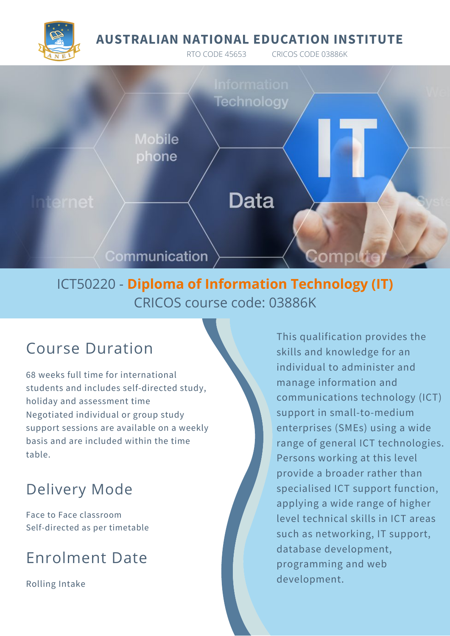#### **AUSTRALIAN NATIONAL EDUCATION INSTITUTE**

RTO CODE 45653 CRICOS CODE 03886K



# Technology **Mobile** phone **Data** Communication Compu

## ICT50220 - **Diploma of Information Technology (IT)** CRICOS course code: 03886K

## Course Duration

68 weeks full time for international students and includes self-directed study, holiday and assessment time Negotiated individual or group study support sessions are available on a weekly basis and are included within the time table.

## Delivery Mode

Face to Face classroom Self-directed as per timetable

## Enrolment Date

Rolling Intake

This qualification provides the skills and knowledge for an individual to administer and manage information and communications technology (ICT) support in small-to-medium enterprises (SMEs) using a wide range of general ICT technologies. Persons working at this level provide a broader rather than specialised ICT support function, applying a wide range of higher level technical skills in ICT areas such as networking, IT support, database development, programming and web development.